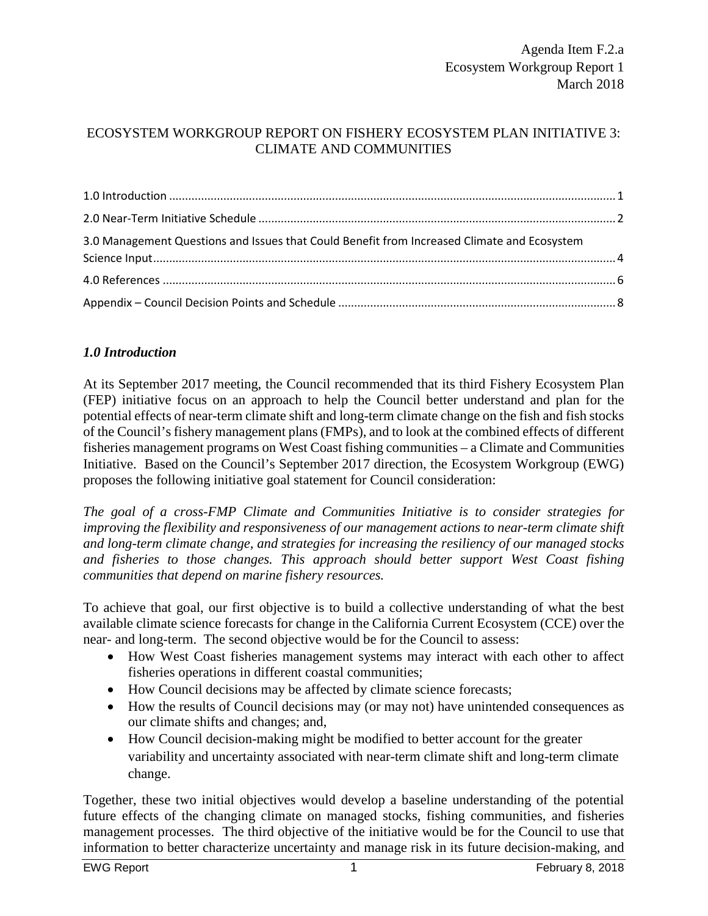### ECOSYSTEM WORKGROUP REPORT ON FISHERY ECOSYSTEM PLAN INITIATIVE 3: CLIMATE AND COMMUNITIES

| 3.0 Management Questions and Issues that Could Benefit from Increased Climate and Ecosystem |  |
|---------------------------------------------------------------------------------------------|--|
|                                                                                             |  |
|                                                                                             |  |

### <span id="page-0-0"></span>*1.0 Introduction*

At its September 2017 meeting, the Council recommended that its third Fishery Ecosystem Plan (FEP) initiative focus on an approach to help the Council better understand and plan for the potential effects of near-term climate shift and long-term climate change on the fish and fish stocks of the Council's fishery management plans (FMPs), and to look at the combined effects of different fisheries management programs on West Coast fishing communities – a Climate and Communities Initiative. Based on the Council's September 2017 direction, the Ecosystem Workgroup (EWG) proposes the following initiative goal statement for Council consideration:

*The goal of a cross-FMP Climate and Communities Initiative is to consider strategies for improving the flexibility and responsiveness of our management actions to near-term climate shift and long-term climate change, and strategies for increasing the resiliency of our managed stocks and fisheries to those changes. This approach should better support West Coast fishing communities that depend on marine fishery resources.*

To achieve that goal, our first objective is to build a collective understanding of what the best available climate science forecasts for change in the California Current Ecosystem (CCE) over the near- and long-term. The second objective would be for the Council to assess:

- How West Coast fisheries management systems may interact with each other to affect fisheries operations in different coastal communities;
- How Council decisions may be affected by climate science forecasts;
- How the results of Council decisions may (or may not) have unintended consequences as our climate shifts and changes; and,
- How Council decision-making might be modified to better account for the greater variability and uncertainty associated with near-term climate shift and long-term climate change.

Together, these two initial objectives would develop a baseline understanding of the potential future effects of the changing climate on managed stocks, fishing communities, and fisheries management processes. The third objective of the initiative would be for the Council to use that information to better characterize uncertainty and manage risk in its future decision-making, and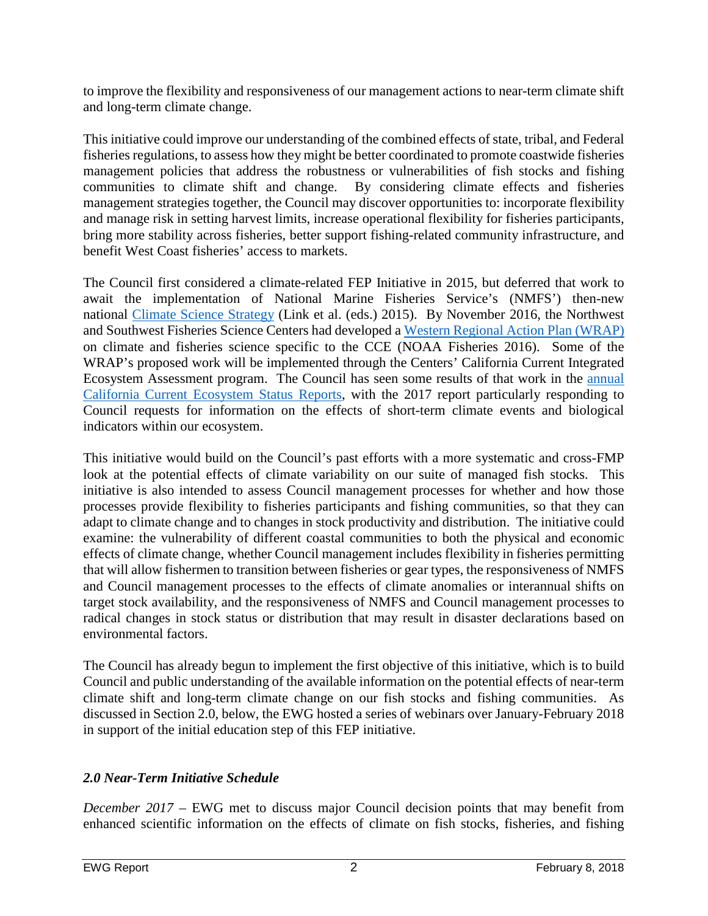to improve the flexibility and responsiveness of our management actions to near-term climate shift and long-term climate change.

This initiative could improve our understanding of the combined effects of state, tribal, and Federal fisheries regulations, to assess how they might be better coordinated to promote coastwide fisheries management policies that address the robustness or vulnerabilities of fish stocks and fishing communities to climate shift and change. By considering climate effects and fisheries management strategies together, the Council may discover opportunities to: incorporate flexibility and manage risk in setting harvest limits, increase operational flexibility for fisheries participants, bring more stability across fisheries, better support fishing-related community infrastructure, and benefit West Coast fisheries' access to markets.

The Council first considered a climate-related FEP Initiative in 2015, but deferred that work to await the implementation of National Marine Fisheries Service's (NMFS') then-new national [Climate Science Strategy](http://www.st.nmfs.noaa.gov/ecosystems/climate/national-climate-strategy) (Link et al. (eds.) 2015). By November 2016, the Northwest and Southwest Fisheries Science Centers had developed a [Western Regional Action Plan \(WRAP\)](http://www.st.nmfs.noaa.gov/ecosystems/climate/rap/western-regional-action-plan) on climate and fisheries science specific to the CCE (NOAA Fisheries 2016). Some of the WRAP's proposed work will be implemented through the Centers' California Current Integrated Ecosystem Assessment program. The Council has seen some results of that work in the [annual](http://www.pcouncil.org/ecosystem-based-management/annual-state-of-the-california-current-ecosystem/) [California Current Ecosystem Status Reports,](http://www.pcouncil.org/ecosystem-based-management/annual-state-of-the-california-current-ecosystem/) with the 2017 report particularly responding to Council requests for information on the effects of short-term climate events and biological indicators within our ecosystem.

This initiative would build on the Council's past efforts with a more systematic and cross-FMP look at the potential effects of climate variability on our suite of managed fish stocks. This initiative is also intended to assess Council management processes for whether and how those processes provide flexibility to fisheries participants and fishing communities, so that they can adapt to climate change and to changes in stock productivity and distribution. The initiative could examine: the vulnerability of different coastal communities to both the physical and economic effects of climate change, whether Council management includes flexibility in fisheries permitting that will allow fishermen to transition between fisheries or gear types, the responsiveness of NMFS and Council management processes to the effects of climate anomalies or interannual shifts on target stock availability, and the responsiveness of NMFS and Council management processes to radical changes in stock status or distribution that may result in disaster declarations based on environmental factors.

The Council has already begun to implement the first objective of this initiative, which is to build Council and public understanding of the available information on the potential effects of near-term climate shift and long-term climate change on our fish stocks and fishing communities. As discussed in Section 2.0, below, the EWG hosted a series of webinars over January-February 2018 in support of the initial education step of this FEP initiative.

# <span id="page-1-0"></span>*2.0 Near-Term Initiative Schedule*

*December 2017* – EWG met to discuss major Council decision points that may benefit from enhanced scientific information on the effects of climate on fish stocks, fisheries, and fishing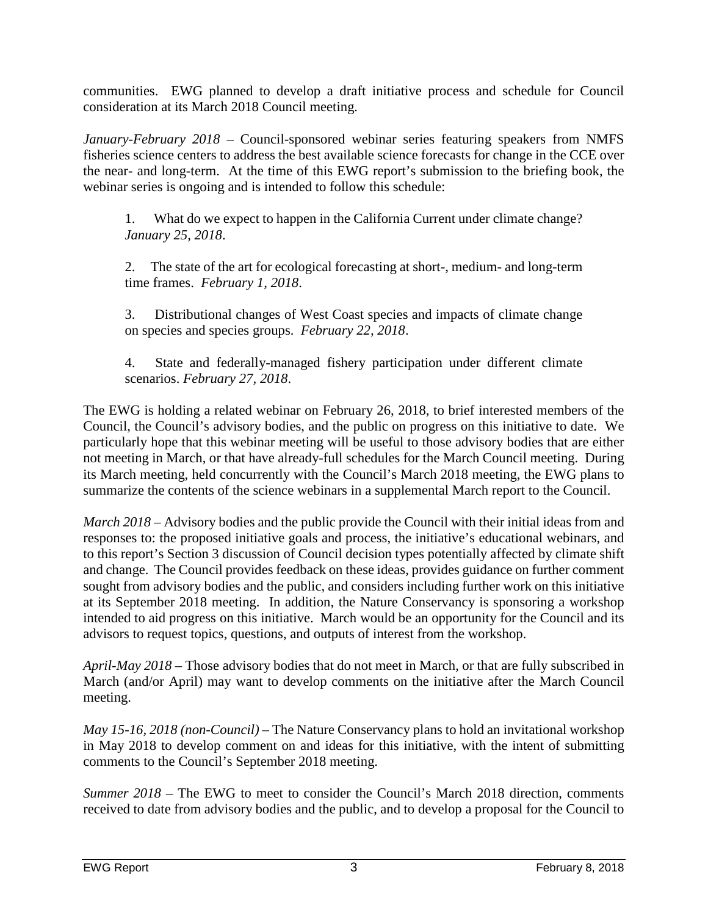communities. EWG planned to develop a draft initiative process and schedule for Council consideration at its March 2018 Council meeting.

*January-February 2018* – Council-sponsored webinar series featuring speakers from NMFS fisheries science centers to address the best available science forecasts for change in the CCE over the near- and long-term. At the time of this EWG report's submission to the briefing book, the webinar series is ongoing and is intended to follow this schedule:

1. What do we expect to happen in the California Current under climate change? *January 25, 2018*.

2. The state of the art for ecological forecasting at short-, medium- and long-term time frames. *February 1, 2018*.

3. Distributional changes of West Coast species and impacts of climate change on species and species groups. *February 22, 2018*.

4. State and federally-managed fishery participation under different climate scenarios. *February 27, 2018*.

The EWG is holding a related webinar on February 26, 2018, to brief interested members of the Council, the Council's advisory bodies, and the public on progress on this initiative to date. We particularly hope that this webinar meeting will be useful to those advisory bodies that are either not meeting in March, or that have already-full schedules for the March Council meeting. During its March meeting, held concurrently with the Council's March 2018 meeting, the EWG plans to summarize the contents of the science webinars in a supplemental March report to the Council.

*March 2018* – Advisory bodies and the public provide the Council with their initial ideas from and responses to: the proposed initiative goals and process, the initiative's educational webinars, and to this report's Section 3 discussion of Council decision types potentially affected by climate shift and change. The Council provides feedback on these ideas, provides guidance on further comment sought from advisory bodies and the public, and considers including further work on this initiative at its September 2018 meeting. In addition, the Nature Conservancy is sponsoring a workshop intended to aid progress on this initiative. March would be an opportunity for the Council and its advisors to request topics, questions, and outputs of interest from the workshop.

*April-May 2018 –* Those advisory bodies that do not meet in March, or that are fully subscribed in March (and/or April) may want to develop comments on the initiative after the March Council meeting.

*May 15-16, 2018 (non-Council)* – The Nature Conservancy plans to hold an invitational workshop in May 2018 to develop comment on and ideas for this initiative, with the intent of submitting comments to the Council's September 2018 meeting.

*Summer 2018* – The EWG to meet to consider the Council's March 2018 direction, comments received to date from advisory bodies and the public, and to develop a proposal for the Council to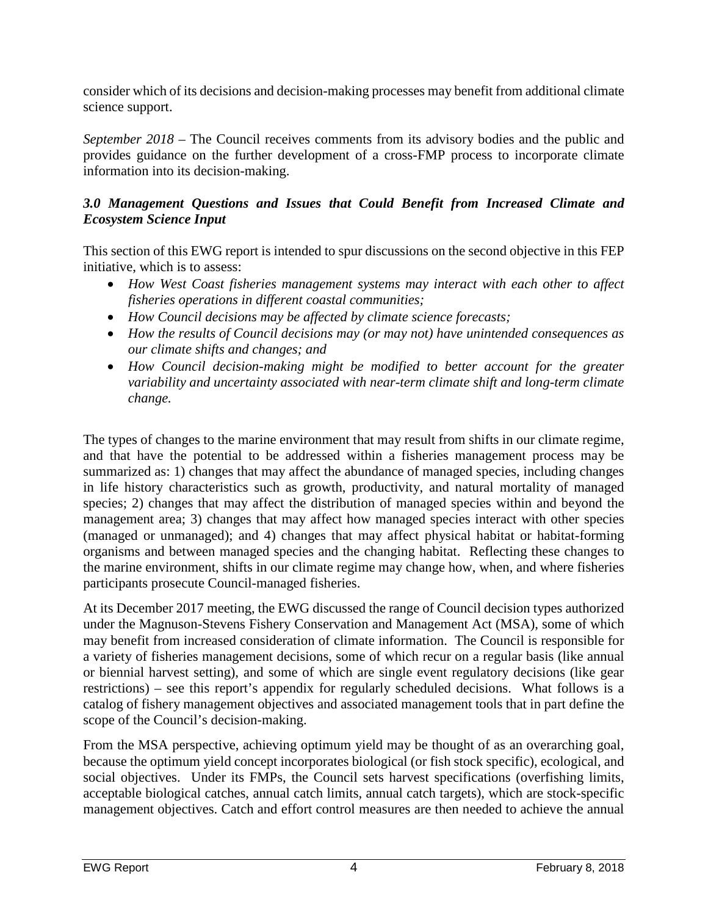consider which of its decisions and decision-making processes may benefit from additional climate science support.

*September 2018 –* The Council receives comments from its advisory bodies and the public and provides guidance on the further development of a cross-FMP process to incorporate climate information into its decision-making.

## <span id="page-3-0"></span>*3.0 Management Questions and Issues that Could Benefit from Increased Climate and Ecosystem Science Input*

This section of this EWG report is intended to spur discussions on the second objective in this FEP initiative, which is to assess:

- *How West Coast fisheries management systems may interact with each other to affect fisheries operations in different coastal communities;*
- *How Council decisions may be affected by climate science forecasts;*
- *How the results of Council decisions may (or may not) have unintended consequences as our climate shifts and changes; and*
- *How Council decision-making might be modified to better account for the greater variability and uncertainty associated with near-term climate shift and long-term climate change.*

The types of changes to the marine environment that may result from shifts in our climate regime, and that have the potential to be addressed within a fisheries management process may be summarized as: 1) changes that may affect the abundance of managed species, including changes in life history characteristics such as growth, productivity, and natural mortality of managed species; 2) changes that may affect the distribution of managed species within and beyond the management area; 3) changes that may affect how managed species interact with other species (managed or unmanaged); and 4) changes that may affect physical habitat or habitat-forming organisms and between managed species and the changing habitat. Reflecting these changes to the marine environment, shifts in our climate regime may change how, when, and where fisheries participants prosecute Council-managed fisheries.

At its December 2017 meeting, the EWG discussed the range of Council decision types authorized under the Magnuson-Stevens Fishery Conservation and Management Act (MSA), some of which may benefit from increased consideration of climate information. The Council is responsible for a variety of fisheries management decisions, some of which recur on a regular basis (like annual or biennial harvest setting), and some of which are single event regulatory decisions (like gear restrictions) – see this report's appendix for regularly scheduled decisions. What follows is a catalog of fishery management objectives and associated management tools that in part define the scope of the Council's decision-making.

From the MSA perspective, achieving optimum yield may be thought of as an overarching goal, because the optimum yield concept incorporates biological (or fish stock specific), ecological, and social objectives. Under its FMPs, the Council sets harvest specifications (overfishing limits, acceptable biological catches, annual catch limits, annual catch targets), which are stock-specific management objectives. Catch and effort control measures are then needed to achieve the annual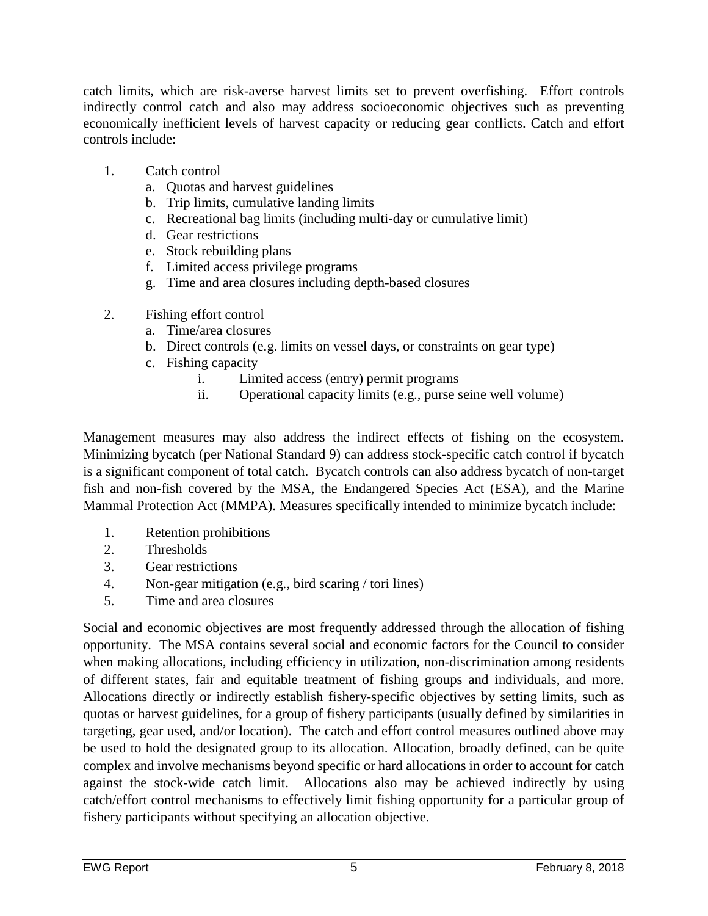catch limits, which are risk-averse harvest limits set to prevent overfishing. Effort controls indirectly control catch and also may address socioeconomic objectives such as preventing economically inefficient levels of harvest capacity or reducing gear conflicts. Catch and effort controls include:

- 1. Catch control
	- a. Quotas and harvest guidelines
	- b. Trip limits, cumulative landing limits
	- c. Recreational bag limits (including multi-day or cumulative limit)
	- d. Gear restrictions
	- e. Stock rebuilding plans
	- f. Limited access privilege programs
	- g. Time and area closures including depth-based closures
- 2. Fishing effort control
	- a. Time/area closures
	- b. Direct controls (e.g. limits on vessel days, or constraints on gear type)
	- c. Fishing capacity
		- i. Limited access (entry) permit programs
		- ii. Operational capacity limits (e.g., purse seine well volume)

Management measures may also address the indirect effects of fishing on the ecosystem. Minimizing bycatch (per National Standard 9) can address stock-specific catch control if bycatch is a significant component of total catch. Bycatch controls can also address bycatch of non-target fish and non-fish covered by the MSA, the Endangered Species Act (ESA), and the Marine Mammal Protection Act (MMPA). Measures specifically intended to minimize bycatch include:

- 1. Retention prohibitions
- 2. Thresholds
- 3. Gear restrictions
- 4. Non-gear mitigation (e.g., bird scaring / tori lines)
- 5. Time and area closures

Social and economic objectives are most frequently addressed through the allocation of fishing opportunity. The MSA contains several social and economic factors for the Council to consider when making allocations, including efficiency in utilization, non-discrimination among residents of different states, fair and equitable treatment of fishing groups and individuals, and more. Allocations directly or indirectly establish fishery-specific objectives by setting limits, such as quotas or harvest guidelines, for a group of fishery participants (usually defined by similarities in targeting, gear used, and/or location). The catch and effort control measures outlined above may be used to hold the designated group to its allocation. Allocation, broadly defined, can be quite complex and involve mechanisms beyond specific or hard allocations in order to account for catch against the stock-wide catch limit. Allocations also may be achieved indirectly by using catch/effort control mechanisms to effectively limit fishing opportunity for a particular group of fishery participants without specifying an allocation objective.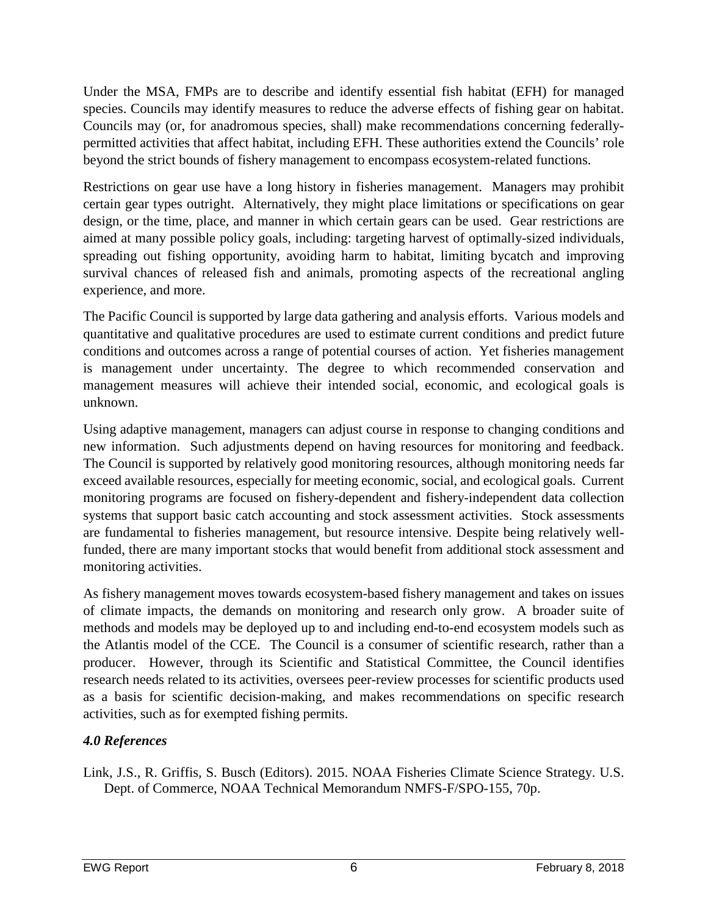Under the MSA, FMPs are to describe and identify essential fish habitat (EFH) for managed species. Councils may identify measures to reduce the adverse effects of fishing gear on habitat. Councils may (or, for anadromous species, shall) make recommendations concerning federallypermitted activities that affect habitat, including EFH. These authorities extend the Councils' role beyond the strict bounds of fishery management to encompass ecosystem-related functions.

Restrictions on gear use have a long history in fisheries management. Managers may prohibit certain gear types outright. Alternatively, they might place limitations or specifications on gear design, or the time, place, and manner in which certain gears can be used. Gear restrictions are aimed at many possible policy goals, including: targeting harvest of optimally-sized individuals, spreading out fishing opportunity, avoiding harm to habitat, limiting bycatch and improving survival chances of released fish and animals, promoting aspects of the recreational angling experience, and more.

The Pacific Council is supported by large data gathering and analysis efforts. Various models and quantitative and qualitative procedures are used to estimate current conditions and predict future conditions and outcomes across a range of potential courses of action. Yet fisheries management is management under uncertainty. The degree to which recommended conservation and management measures will achieve their intended social, economic, and ecological goals is unknown.

Using adaptive management, managers can adjust course in response to changing conditions and new information. Such adjustments depend on having resources for monitoring and feedback. The Council is supported by relatively good monitoring resources, although monitoring needs far exceed available resources, especially for meeting economic, social, and ecological goals. Current monitoring programs are focused on fishery-dependent and fishery-independent data collection systems that support basic catch accounting and stock assessment activities. Stock assessments are fundamental to fisheries management, but resource intensive. Despite being relatively wellfunded, there are many important stocks that would benefit from additional stock assessment and monitoring activities.

As fishery management moves towards ecosystem-based fishery management and takes on issues of climate impacts, the demands on monitoring and research only grow. A broader suite of methods and models may be deployed up to and including end-to-end ecosystem models such as the Atlantis model of the CCE. The Council is a consumer of scientific research, rather than a producer. However, through its Scientific and Statistical Committee, the Council identifies research needs related to its activities, oversees peer-review processes for scientific products used as a basis for scientific decision-making, and makes recommendations on specific research activities, such as for exempted fishing permits.

# <span id="page-5-0"></span>*4.0 References*

Link, J.S., R. Griffis, S. Busch (Editors). 2015. NOAA Fisheries Climate Science Strategy. U.S. Dept. of Commerce, NOAA Technical Memorandum NMFS-F/SPO-155, 70p.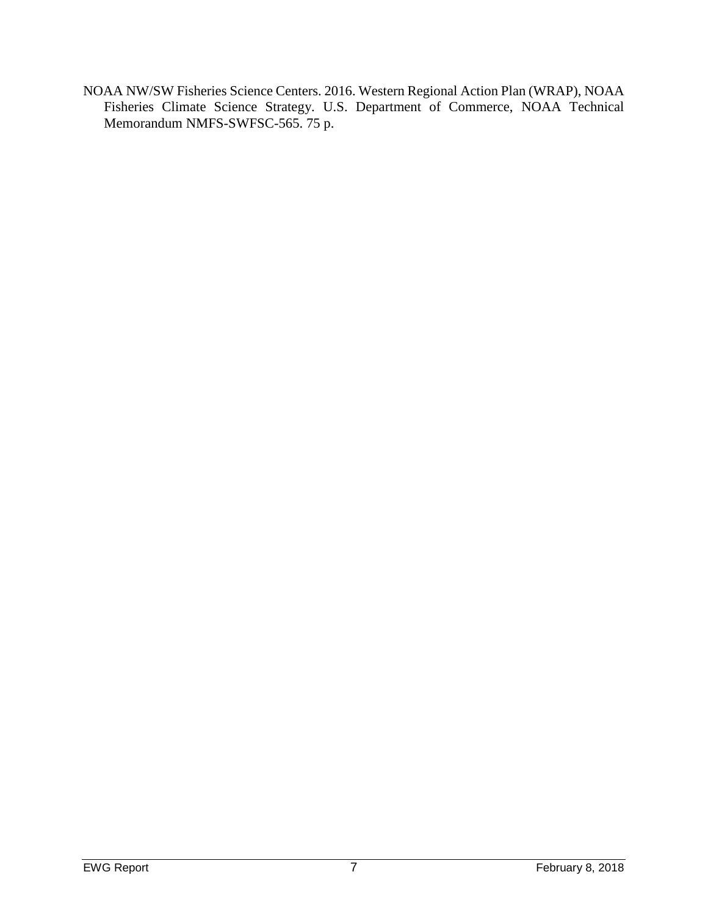NOAA NW/SW Fisheries Science Centers. 2016. Western Regional Action Plan (WRAP), NOAA Fisheries Climate Science Strategy. U.S. Department of Commerce, NOAA Technical Memorandum NMFS-SWFSC-565. 75 p.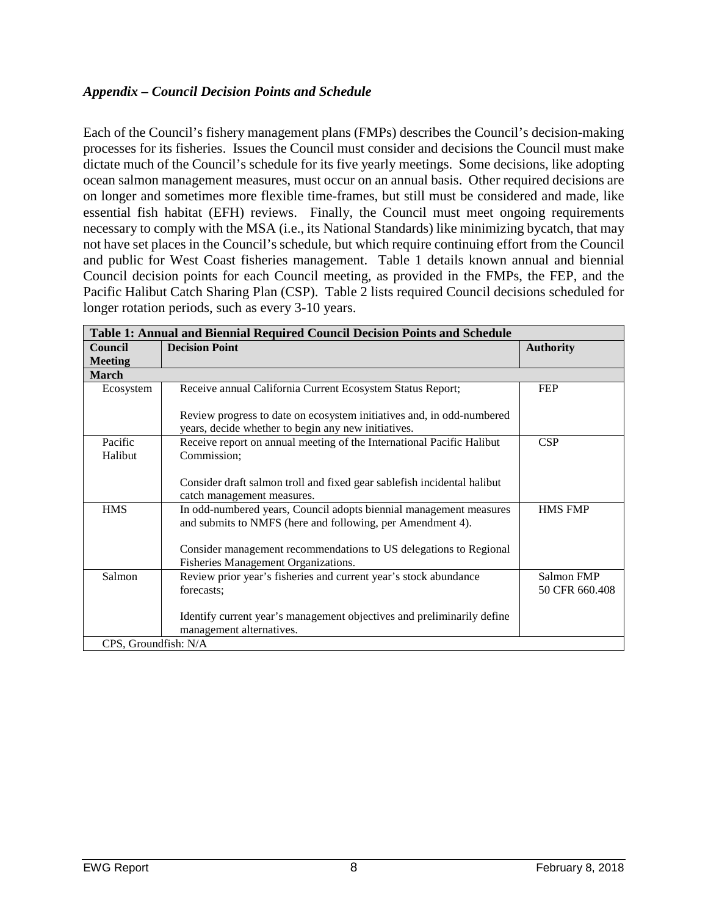### <span id="page-7-0"></span>*Appendix – Council Decision Points and Schedule*

Each of the Council's fishery management plans (FMPs) describes the Council's decision-making processes for its fisheries. Issues the Council must consider and decisions the Council must make dictate much of the Council's schedule for its five yearly meetings. Some decisions, like adopting ocean salmon management measures, must occur on an annual basis. Other required decisions are on longer and sometimes more flexible time-frames, but still must be considered and made, like essential fish habitat (EFH) reviews. Finally, the Council must meet ongoing requirements necessary to comply with the MSA (i.e., its National Standards) like minimizing bycatch, that may not have set places in the Council's schedule, but which require continuing effort from the Council and public for West Coast fisheries management. Table 1 details known annual and biennial Council decision points for each Council meeting, as provided in the FMPs, the FEP, and the Pacific Halibut Catch Sharing Plan (CSP). Table 2 lists required Council decisions scheduled for longer rotation periods, such as every 3-10 years.

| <b>Table 1: Annual and Biennial Required Council Decision Points and Schedule</b> |                                                                                                                                  |                              |  |  |
|-----------------------------------------------------------------------------------|----------------------------------------------------------------------------------------------------------------------------------|------------------------------|--|--|
| Council                                                                           | <b>Decision Point</b>                                                                                                            |                              |  |  |
| <b>Meeting</b>                                                                    |                                                                                                                                  |                              |  |  |
| <b>March</b>                                                                      |                                                                                                                                  |                              |  |  |
| Ecosystem                                                                         | Receive annual California Current Ecosystem Status Report;                                                                       | <b>FEP</b>                   |  |  |
|                                                                                   | Review progress to date on ecosystem initiatives and, in odd-numbered<br>years, decide whether to begin any new initiatives.     |                              |  |  |
| Pacific                                                                           | Receive report on annual meeting of the International Pacific Halibut                                                            | CSP                          |  |  |
| Halibut                                                                           | Commission;                                                                                                                      |                              |  |  |
|                                                                                   | Consider draft salmon troll and fixed gear sablefish incidental halibut<br>catch management measures.                            |                              |  |  |
| <b>HMS</b>                                                                        | In odd-numbered years, Council adopts biennial management measures<br>and submits to NMFS (here and following, per Amendment 4). | <b>HMS FMP</b>               |  |  |
|                                                                                   | Consider management recommendations to US delegations to Regional<br>Fisheries Management Organizations.                         |                              |  |  |
| Salmon                                                                            | Review prior year's fisheries and current year's stock abundance<br>forecasts;                                                   | Salmon FMP<br>50 CFR 660.408 |  |  |
|                                                                                   | Identify current year's management objectives and preliminarily define<br>management alternatives.                               |                              |  |  |
| CPS, Groundfish: N/A                                                              |                                                                                                                                  |                              |  |  |